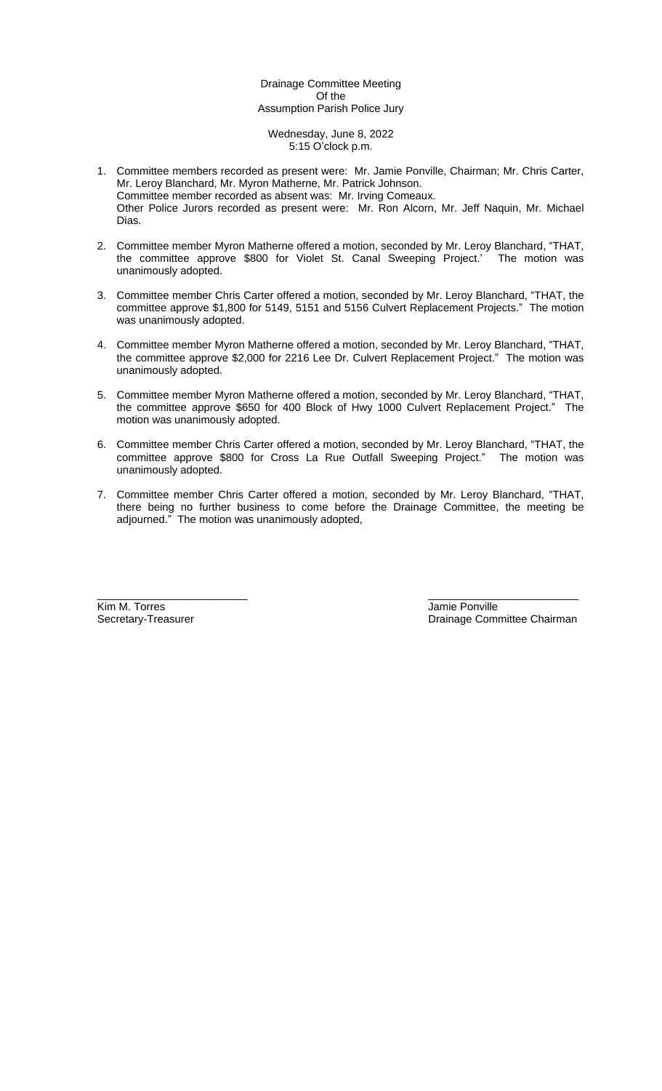# Drainage Committee Meeting Of the Assumption Parish Police Jury

Wednesday, June 8, 2022 5:15 O'clock p.m.

- 1. Committee members recorded as present were: Mr. Jamie Ponville, Chairman; Mr. Chris Carter, Mr. Leroy Blanchard, Mr. Myron Matherne, Mr. Patrick Johnson. Committee member recorded as absent was: Mr. Irving Comeaux. Other Police Jurors recorded as present were: Mr. Ron Alcorn, Mr. Jeff Naquin, Mr. Michael Dias.
- 2. Committee member Myron Matherne offered a motion, seconded by Mr. Leroy Blanchard, "THAT, the committee approve \$800 for Violet St. Canal Sweeping Project.' The motion was unanimously adopted.
- 3. Committee member Chris Carter offered a motion, seconded by Mr. Leroy Blanchard, "THAT, the committee approve \$1,800 for 5149, 5151 and 5156 Culvert Replacement Projects." The motion was unanimously adopted.
- 4. Committee member Myron Matherne offered a motion, seconded by Mr. Leroy Blanchard, "THAT, the committee approve \$2,000 for 2216 Lee Dr. Culvert Replacement Project." The motion was unanimously adopted.
- 5. Committee member Myron Matherne offered a motion, seconded by Mr. Leroy Blanchard, "THAT, the committee approve \$650 for 400 Block of Hwy 1000 Culvert Replacement Project." The motion was unanimously adopted.
- 6. Committee member Chris Carter offered a motion, seconded by Mr. Leroy Blanchard, "THAT, the committee approve \$800 for Cross La Rue Outfall Sweeping Project." The motion was unanimously adopted.
- 7. Committee member Chris Carter offered a motion, seconded by Mr. Leroy Blanchard, "THAT, there being no further business to come before the Drainage Committee, the meeting be adjourned." The motion was unanimously adopted,

Kim M. Torres **Van Elita Construction Construction Construction**<br>
Secretary-Treasurer **Construction Construction Construction**<br>
Drainage Comm

\_\_\_\_\_\_\_\_\_\_\_\_\_\_\_\_\_\_\_\_\_\_\_\_\_ \_\_\_\_\_\_\_\_\_\_\_\_\_\_\_\_\_\_\_\_\_\_\_\_\_ Drainage Committee Chairman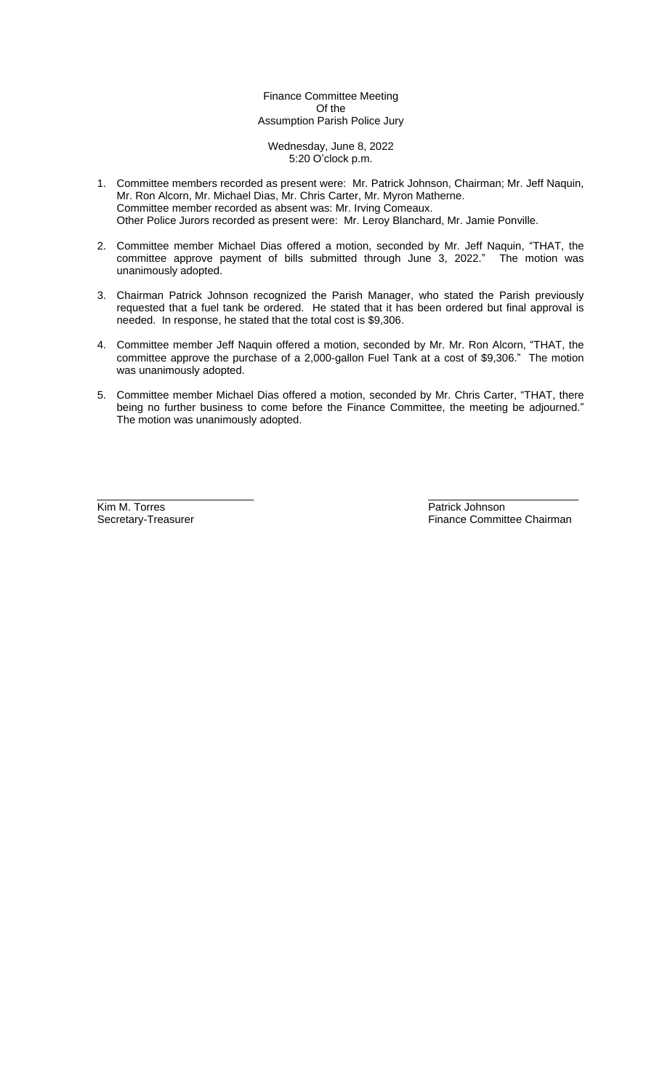Finance Committee Meeting Of the Assumption Parish Police Jury

Wednesday, June 8, 2022 5:20 O'clock p.m.

- 1. Committee members recorded as present were: Mr. Patrick Johnson, Chairman; Mr. Jeff Naquin, Mr. Ron Alcorn, Mr. Michael Dias, Mr. Chris Carter, Mr. Myron Matherne. Committee member recorded as absent was: Mr. Irving Comeaux. Other Police Jurors recorded as present were: Mr. Leroy Blanchard, Mr. Jamie Ponville.
- 2. Committee member Michael Dias offered a motion, seconded by Mr. Jeff Naquin, "THAT, the committee approve payment of bills submitted through June 3, 2022." The motion was unanimously adopted.
- 3. Chairman Patrick Johnson recognized the Parish Manager, who stated the Parish previously requested that a fuel tank be ordered. He stated that it has been ordered but final approval is needed. In response, he stated that the total cost is \$9,306.
- 4. Committee member Jeff Naquin offered a motion, seconded by Mr. Mr. Ron Alcorn, "THAT, the committee approve the purchase of a 2,000-gallon Fuel Tank at a cost of \$9,306." The motion was unanimously adopted.
- 5. Committee member Michael Dias offered a motion, seconded by Mr. Chris Carter, "THAT, there being no further business to come before the Finance Committee, the meeting be adjourned." The motion was unanimously adopted.

\_\_\_\_\_\_\_\_\_\_\_\_\_\_\_\_\_\_\_\_\_\_\_\_\_\_ \_\_\_\_\_\_\_\_\_\_\_\_\_\_\_\_\_\_\_\_\_\_\_\_\_ Kim M. Torres **Example 2018** Secretary-Treasurer **Patrick Johnson**<br>
Secretary-Treasurer **Patrick Johnson**<br>
Pinance Commit

Finance Committee Chairman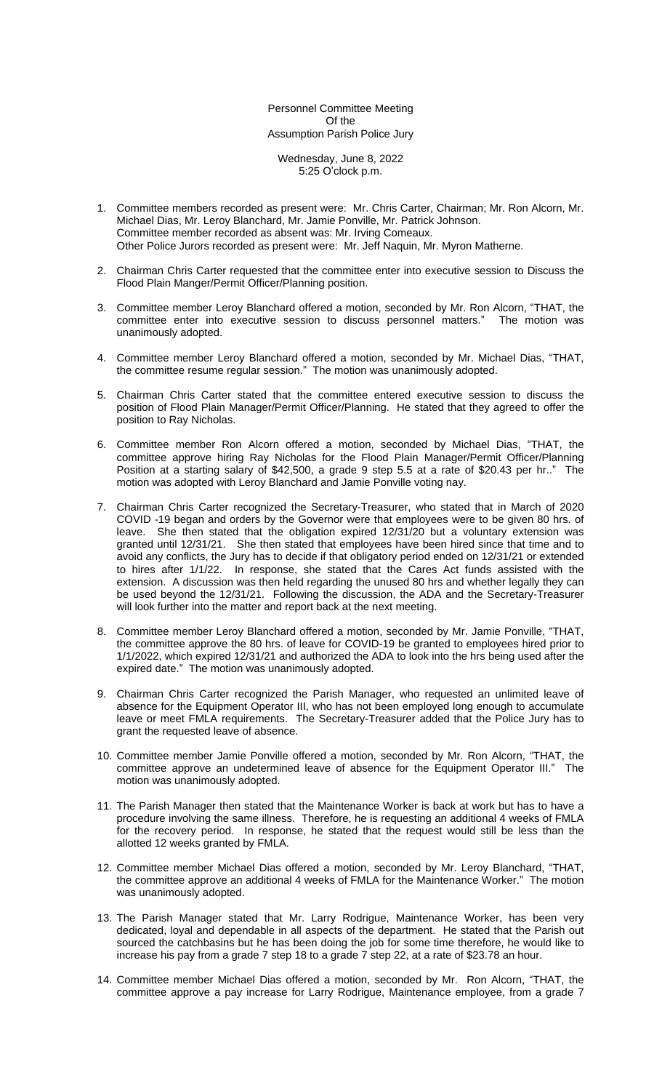Personnel Committee Meeting Of the Assumption Parish Police Jury

Wednesday, June 8, 2022 5:25 O'clock p.m.

- 1. Committee members recorded as present were: Mr. Chris Carter, Chairman; Mr. Ron Alcorn, Mr. Michael Dias, Mr. Leroy Blanchard, Mr. Jamie Ponville, Mr. Patrick Johnson. Committee member recorded as absent was: Mr. Irving Comeaux. Other Police Jurors recorded as present were: Mr. Jeff Naquin, Mr. Myron Matherne.
- 2. Chairman Chris Carter requested that the committee enter into executive session to Discuss the Flood Plain Manger/Permit Officer/Planning position.
- 3. Committee member Leroy Blanchard offered a motion, seconded by Mr. Ron Alcorn, "THAT, the committee enter into executive session to discuss personnel matters." The motion was unanimously adopted.
- 4. Committee member Leroy Blanchard offered a motion, seconded by Mr. Michael Dias, "THAT, the committee resume regular session." The motion was unanimously adopted.
- 5. Chairman Chris Carter stated that the committee entered executive session to discuss the position of Flood Plain Manager/Permit Officer/Planning. He stated that they agreed to offer the position to Ray Nicholas.
- 6. Committee member Ron Alcorn offered a motion, seconded by Michael Dias, "THAT, the committee approve hiring Ray Nicholas for the Flood Plain Manager/Permit Officer/Planning Position at a starting salary of \$42,500, a grade 9 step 5.5 at a rate of \$20.43 per hr.." The motion was adopted with Leroy Blanchard and Jamie Ponville voting nay.
- 7. Chairman Chris Carter recognized the Secretary-Treasurer, who stated that in March of 2020 COVID -19 began and orders by the Governor were that employees were to be given 80 hrs. of leave. She then stated that the obligation expired 12/31/20 but a voluntary extension was granted until 12/31/21. She then stated that employees have been hired since that time and to avoid any conflicts, the Jury has to decide if that obligatory period ended on 12/31/21 or extended to hires after 1/1/22. In response, she stated that the Cares Act funds assisted with the extension. A discussion was then held regarding the unused 80 hrs and whether legally they can be used beyond the 12/31/21. Following the discussion, the ADA and the Secretary-Treasurer will look further into the matter and report back at the next meeting.
- 8. Committee member Leroy Blanchard offered a motion, seconded by Mr. Jamie Ponville, "THAT, the committee approve the 80 hrs. of leave for COVID-19 be granted to employees hired prior to 1/1/2022, which expired 12/31/21 and authorized the ADA to look into the hrs being used after the expired date." The motion was unanimously adopted.
- 9. Chairman Chris Carter recognized the Parish Manager, who requested an unlimited leave of absence for the Equipment Operator III, who has not been employed long enough to accumulate leave or meet FMLA requirements. The Secretary-Treasurer added that the Police Jury has to grant the requested leave of absence.
- 10. Committee member Jamie Ponville offered a motion, seconded by Mr. Ron Alcorn, "THAT, the committee approve an undetermined leave of absence for the Equipment Operator III." The motion was unanimously adopted.
- 11. The Parish Manager then stated that the Maintenance Worker is back at work but has to have a procedure involving the same illness. Therefore, he is requesting an additional 4 weeks of FMLA for the recovery period. In response, he stated that the request would still be less than the allotted 12 weeks granted by FMLA.
- 12. Committee member Michael Dias offered a motion, seconded by Mr. Leroy Blanchard, "THAT, the committee approve an additional 4 weeks of FMLA for the Maintenance Worker." The motion was unanimously adopted.
- 13. The Parish Manager stated that Mr. Larry Rodrigue, Maintenance Worker, has been very dedicated, loyal and dependable in all aspects of the department. He stated that the Parish out sourced the catchbasins but he has been doing the job for some time therefore, he would like to increase his pay from a grade 7 step 18 to a grade 7 step 22, at a rate of \$23.78 an hour.
- 14. Committee member Michael Dias offered a motion, seconded by Mr. Ron Alcorn, "THAT, the committee approve a pay increase for Larry Rodrigue, Maintenance employee, from a grade 7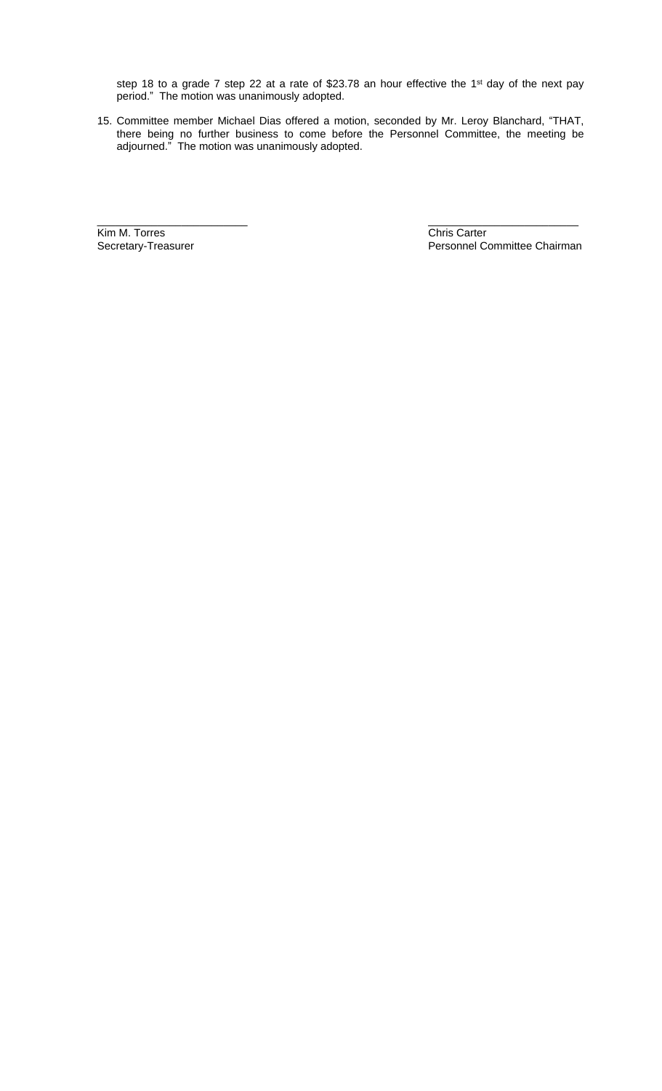step 18 to a grade 7 step 22 at a rate of \$23.78 an hour effective the 1<sup>st</sup> day of the next pay period." The motion was unanimously adopted.

15. Committee member Michael Dias offered a motion, seconded by Mr. Leroy Blanchard, "THAT, there being no further business to come before the Personnel Committee, the meeting be adjourned." The motion was unanimously adopted.

\_\_\_\_\_\_\_\_\_\_\_\_\_\_\_\_\_\_\_\_\_\_\_\_\_ \_\_\_\_\_\_\_\_\_\_\_\_\_\_\_\_\_\_\_\_\_\_\_\_\_

Kim M. Torres Chris Carter<br>
Secretary-Treasurer Chris Carter<br>
Personnel C

Personnel Committee Chairman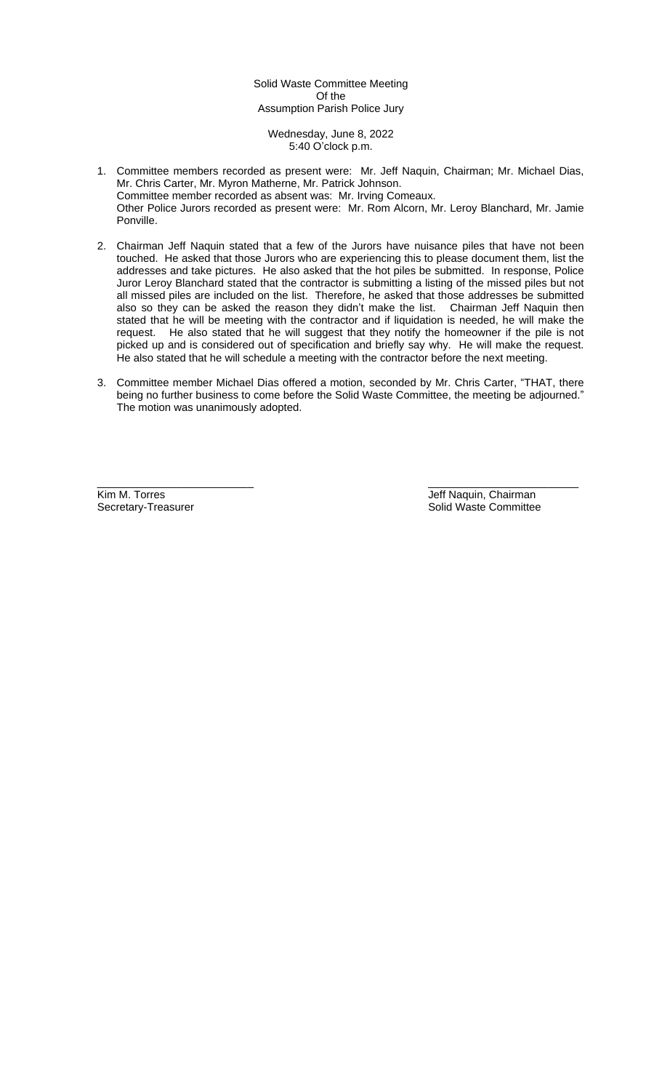# Solid Waste Committee Meeting Of the Assumption Parish Police Jury

Wednesday, June 8, 2022 5:40 O'clock p.m.

- 1. Committee members recorded as present were: Mr. Jeff Naquin, Chairman; Mr. Michael Dias, Mr. Chris Carter, Mr. Myron Matherne, Mr. Patrick Johnson. Committee member recorded as absent was: Mr. Irving Comeaux. Other Police Jurors recorded as present were: Mr. Rom Alcorn, Mr. Leroy Blanchard, Mr. Jamie Ponville.
- 2. Chairman Jeff Naquin stated that a few of the Jurors have nuisance piles that have not been touched. He asked that those Jurors who are experiencing this to please document them, list the addresses and take pictures. He also asked that the hot piles be submitted. In response, Police Juror Leroy Blanchard stated that the contractor is submitting a listing of the missed piles but not all missed piles are included on the list. Therefore, he asked that those addresses be submitted also so they can be asked the reason they didn't make the list. Chairman Jeff Naquin then stated that he will be meeting with the contractor and if liquidation is needed, he will make the request. He also stated that he will suggest that they notify the homeowner if the pile is not picked up and is considered out of specification and briefly say why. He will make the request. He also stated that he will schedule a meeting with the contractor before the next meeting.
- 3. Committee member Michael Dias offered a motion, seconded by Mr. Chris Carter, "THAT, there being no further business to come before the Solid Waste Committee, the meeting be adjourned." The motion was unanimously adopted.

\_\_\_\_\_\_\_\_\_\_\_\_\_\_\_\_\_\_\_\_\_\_\_\_\_\_ \_\_\_\_\_\_\_\_\_\_\_\_\_\_\_\_\_\_\_\_\_\_\_\_\_ Kim M. Torres (Allen Land Controller Land Controller Land Controller Land Controller Land Controller Land Controller<br>
Solid Waste Committee Solid Waste Committee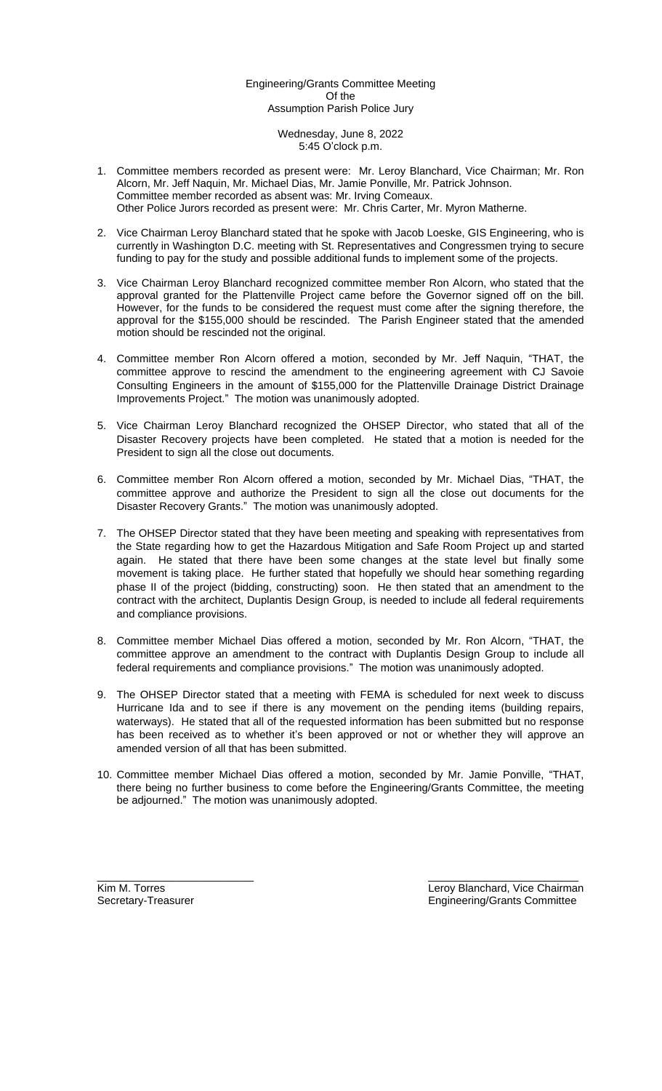# Engineering/Grants Committee Meeting Of the Assumption Parish Police Jury

### Wednesday, June 8, 2022 5:45 O'clock p.m.

- 1. Committee members recorded as present were: Mr. Leroy Blanchard, Vice Chairman; Mr. Ron Alcorn, Mr. Jeff Naquin, Mr. Michael Dias, Mr. Jamie Ponville, Mr. Patrick Johnson. Committee member recorded as absent was: Mr. Irving Comeaux. Other Police Jurors recorded as present were: Mr. Chris Carter, Mr. Myron Matherne.
- 2. Vice Chairman Leroy Blanchard stated that he spoke with Jacob Loeske, GIS Engineering, who is currently in Washington D.C. meeting with St. Representatives and Congressmen trying to secure funding to pay for the study and possible additional funds to implement some of the projects.
- 3. Vice Chairman Leroy Blanchard recognized committee member Ron Alcorn, who stated that the approval granted for the Plattenville Project came before the Governor signed off on the bill. However, for the funds to be considered the request must come after the signing therefore, the approval for the \$155,000 should be rescinded. The Parish Engineer stated that the amended motion should be rescinded not the original.
- 4. Committee member Ron Alcorn offered a motion, seconded by Mr. Jeff Naquin, "THAT, the committee approve to rescind the amendment to the engineering agreement with CJ Savoie Consulting Engineers in the amount of \$155,000 for the Plattenville Drainage District Drainage Improvements Project." The motion was unanimously adopted.
- 5. Vice Chairman Leroy Blanchard recognized the OHSEP Director, who stated that all of the Disaster Recovery projects have been completed. He stated that a motion is needed for the President to sign all the close out documents.
- 6. Committee member Ron Alcorn offered a motion, seconded by Mr. Michael Dias, "THAT, the committee approve and authorize the President to sign all the close out documents for the Disaster Recovery Grants." The motion was unanimously adopted.
- 7. The OHSEP Director stated that they have been meeting and speaking with representatives from the State regarding how to get the Hazardous Mitigation and Safe Room Project up and started again. He stated that there have been some changes at the state level but finally some movement is taking place. He further stated that hopefully we should hear something regarding phase II of the project (bidding, constructing) soon. He then stated that an amendment to the contract with the architect, Duplantis Design Group, is needed to include all federal requirements and compliance provisions.
- 8. Committee member Michael Dias offered a motion, seconded by Mr. Ron Alcorn, "THAT, the committee approve an amendment to the contract with Duplantis Design Group to include all federal requirements and compliance provisions." The motion was unanimously adopted.
- 9. The OHSEP Director stated that a meeting with FEMA is scheduled for next week to discuss Hurricane Ida and to see if there is any movement on the pending items (building repairs, waterways). He stated that all of the requested information has been submitted but no response has been received as to whether it's been approved or not or whether they will approve an amended version of all that has been submitted.
- 10. Committee member Michael Dias offered a motion, seconded by Mr. Jamie Ponville, "THAT, there being no further business to come before the Engineering/Grants Committee, the meeting be adjourned." The motion was unanimously adopted.

\_\_\_\_\_\_\_\_\_\_\_\_\_\_\_\_\_\_\_\_\_\_\_\_\_\_ \_\_\_\_\_\_\_\_\_\_\_\_\_\_\_\_\_\_\_\_\_\_\_\_\_

Kim M. Torres Leroy Blanchard, Vice Chairman Secretary-Treasurer **Engineering/Grants Committee**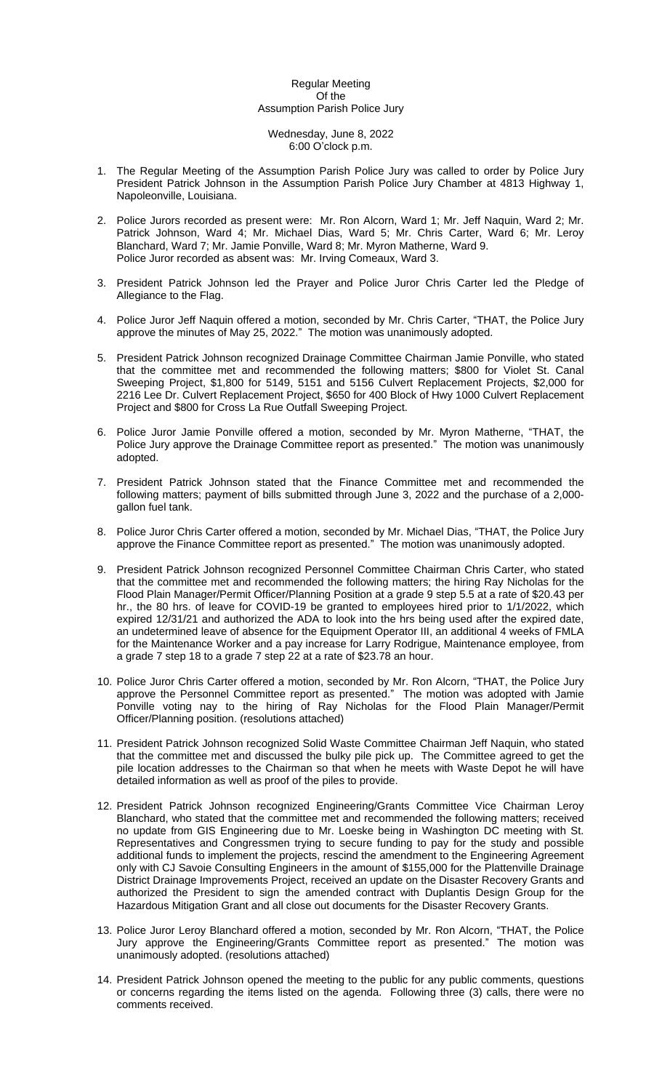#### Regular Meeting Of the Assumption Parish Police Jury

#### Wednesday, June 8, 2022 6:00 O'clock p.m.

- 1. The Regular Meeting of the Assumption Parish Police Jury was called to order by Police Jury President Patrick Johnson in the Assumption Parish Police Jury Chamber at 4813 Highway 1, Napoleonville, Louisiana.
- 2. Police Jurors recorded as present were: Mr. Ron Alcorn, Ward 1; Mr. Jeff Naquin, Ward 2; Mr. Patrick Johnson, Ward 4; Mr. Michael Dias, Ward 5; Mr. Chris Carter, Ward 6; Mr. Leroy Blanchard, Ward 7; Mr. Jamie Ponville, Ward 8; Mr. Myron Matherne, Ward 9. Police Juror recorded as absent was: Mr. Irving Comeaux, Ward 3.
- 3. President Patrick Johnson led the Prayer and Police Juror Chris Carter led the Pledge of Allegiance to the Flag.
- 4. Police Juror Jeff Naquin offered a motion, seconded by Mr. Chris Carter, "THAT, the Police Jury approve the minutes of May 25, 2022." The motion was unanimously adopted.
- 5. President Patrick Johnson recognized Drainage Committee Chairman Jamie Ponville, who stated that the committee met and recommended the following matters; \$800 for Violet St. Canal Sweeping Project, \$1,800 for 5149, 5151 and 5156 Culvert Replacement Projects, \$2,000 for 2216 Lee Dr. Culvert Replacement Project, \$650 for 400 Block of Hwy 1000 Culvert Replacement Project and \$800 for Cross La Rue Outfall Sweeping Project.
- 6. Police Juror Jamie Ponville offered a motion, seconded by Mr. Myron Matherne, "THAT, the Police Jury approve the Drainage Committee report as presented." The motion was unanimously adopted.
- 7. President Patrick Johnson stated that the Finance Committee met and recommended the following matters; payment of bills submitted through June 3, 2022 and the purchase of a 2,000 gallon fuel tank.
- 8. Police Juror Chris Carter offered a motion, seconded by Mr. Michael Dias, "THAT, the Police Jury approve the Finance Committee report as presented." The motion was unanimously adopted.
- 9. President Patrick Johnson recognized Personnel Committee Chairman Chris Carter, who stated that the committee met and recommended the following matters; the hiring Ray Nicholas for the Flood Plain Manager/Permit Officer/Planning Position at a grade 9 step 5.5 at a rate of \$20.43 per hr., the 80 hrs. of leave for COVID-19 be granted to employees hired prior to 1/1/2022, which expired 12/31/21 and authorized the ADA to look into the hrs being used after the expired date, an undetermined leave of absence for the Equipment Operator III, an additional 4 weeks of FMLA for the Maintenance Worker and a pay increase for Larry Rodrigue, Maintenance employee, from a grade 7 step 18 to a grade 7 step 22 at a rate of \$23.78 an hour.
- 10. Police Juror Chris Carter offered a motion, seconded by Mr. Ron Alcorn, "THAT, the Police Jury approve the Personnel Committee report as presented." The motion was adopted with Jamie Ponville voting nay to the hiring of Ray Nicholas for the Flood Plain Manager/Permit Officer/Planning position. (resolutions attached)
- 11. President Patrick Johnson recognized Solid Waste Committee Chairman Jeff Naquin, who stated that the committee met and discussed the bulky pile pick up. The Committee agreed to get the pile location addresses to the Chairman so that when he meets with Waste Depot he will have detailed information as well as proof of the piles to provide.
- 12. President Patrick Johnson recognized Engineering/Grants Committee Vice Chairman Leroy Blanchard, who stated that the committee met and recommended the following matters; received no update from GIS Engineering due to Mr. Loeske being in Washington DC meeting with St. Representatives and Congressmen trying to secure funding to pay for the study and possible additional funds to implement the projects, rescind the amendment to the Engineering Agreement only with CJ Savoie Consulting Engineers in the amount of \$155,000 for the Plattenville Drainage District Drainage Improvements Project, received an update on the Disaster Recovery Grants and authorized the President to sign the amended contract with Duplantis Design Group for the Hazardous Mitigation Grant and all close out documents for the Disaster Recovery Grants.
- 13. Police Juror Leroy Blanchard offered a motion, seconded by Mr. Ron Alcorn, "THAT, the Police Jury approve the Engineering/Grants Committee report as presented." The motion was unanimously adopted. (resolutions attached)
- 14. President Patrick Johnson opened the meeting to the public for any public comments, questions or concerns regarding the items listed on the agenda. Following three (3) calls, there were no comments received.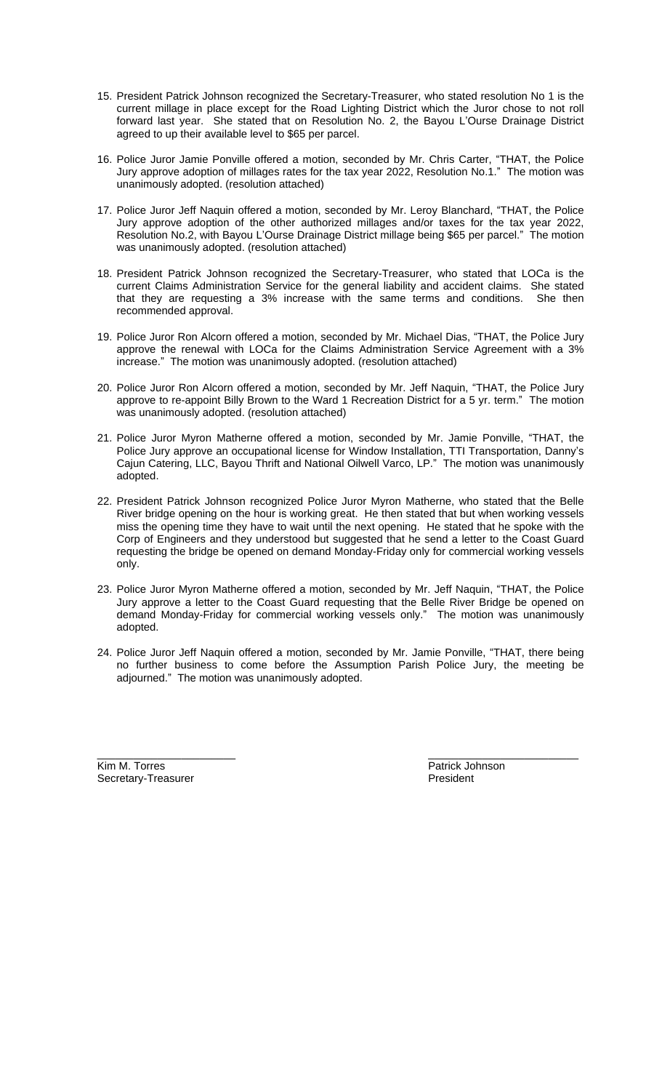- 15. President Patrick Johnson recognized the Secretary-Treasurer, who stated resolution No 1 is the current millage in place except for the Road Lighting District which the Juror chose to not roll forward last year. She stated that on Resolution No. 2, the Bayou L'Ourse Drainage District agreed to up their available level to \$65 per parcel.
- 16. Police Juror Jamie Ponville offered a motion, seconded by Mr. Chris Carter, "THAT, the Police Jury approve adoption of millages rates for the tax year 2022, Resolution No.1." The motion was unanimously adopted. (resolution attached)
- 17. Police Juror Jeff Naquin offered a motion, seconded by Mr. Leroy Blanchard, "THAT, the Police Jury approve adoption of the other authorized millages and/or taxes for the tax year 2022, Resolution No.2, with Bayou L'Ourse Drainage District millage being \$65 per parcel." The motion was unanimously adopted. (resolution attached)
- 18. President Patrick Johnson recognized the Secretary-Treasurer, who stated that LOCa is the current Claims Administration Service for the general liability and accident claims. She stated that they are requesting a 3% increase with the same terms and conditions. She then recommended approval.
- 19. Police Juror Ron Alcorn offered a motion, seconded by Mr. Michael Dias, "THAT, the Police Jury approve the renewal with LOCa for the Claims Administration Service Agreement with a 3% increase." The motion was unanimously adopted. (resolution attached)
- 20. Police Juror Ron Alcorn offered a motion, seconded by Mr. Jeff Naquin, "THAT, the Police Jury approve to re-appoint Billy Brown to the Ward 1 Recreation District for a 5 yr. term." The motion was unanimously adopted. (resolution attached)
- 21. Police Juror Myron Matherne offered a motion, seconded by Mr. Jamie Ponville, "THAT, the Police Jury approve an occupational license for Window Installation, TTI Transportation, Danny's Cajun Catering, LLC, Bayou Thrift and National Oilwell Varco, LP." The motion was unanimously adopted.
- 22. President Patrick Johnson recognized Police Juror Myron Matherne, who stated that the Belle River bridge opening on the hour is working great. He then stated that but when working vessels miss the opening time they have to wait until the next opening. He stated that he spoke with the Corp of Engineers and they understood but suggested that he send a letter to the Coast Guard requesting the bridge be opened on demand Monday-Friday only for commercial working vessels only.
- 23. Police Juror Myron Matherne offered a motion, seconded by Mr. Jeff Naquin, "THAT, the Police Jury approve a letter to the Coast Guard requesting that the Belle River Bridge be opened on demand Monday-Friday for commercial working vessels only." The motion was unanimously adopted.
- 24. Police Juror Jeff Naquin offered a motion, seconded by Mr. Jamie Ponville, "THAT, there being no further business to come before the Assumption Parish Police Jury, the meeting be adjourned." The motion was unanimously adopted.

\_\_\_\_\_\_\_\_\_\_\_\_\_\_\_\_\_\_\_\_\_\_\_ \_\_\_\_\_\_\_\_\_\_\_\_\_\_\_\_\_\_\_\_\_\_\_\_\_

**Kim M. Torres Example 2018** 2019 12:30 Patrick Johnson Patrick Johnson Patrick Johnson **President** Secretary-Treasurer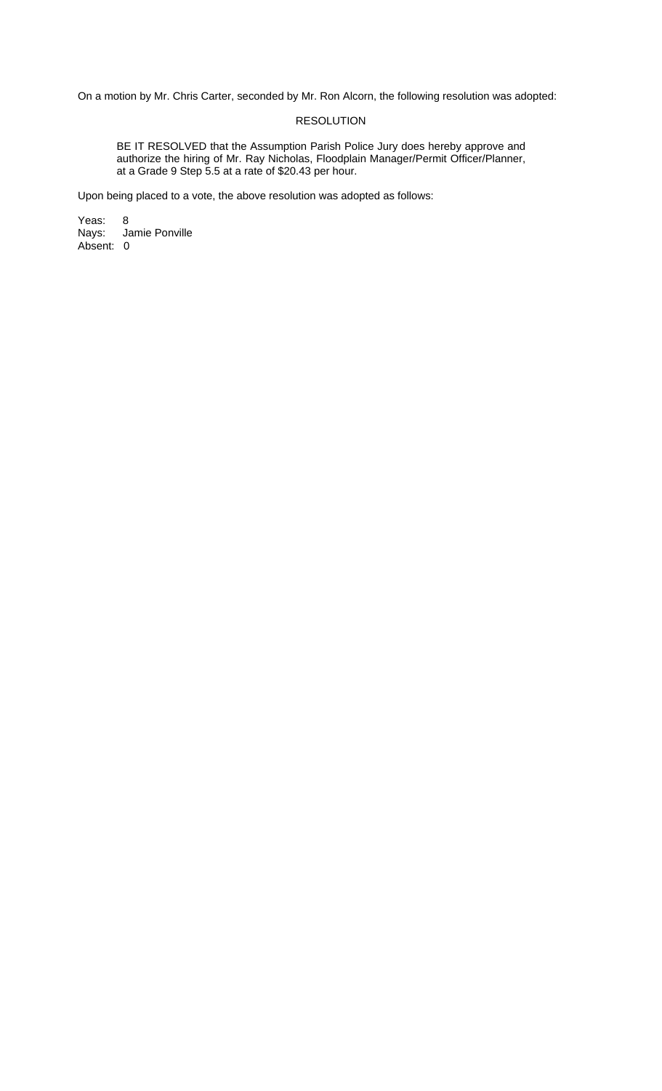# RESOLUTION

BE IT RESOLVED that the Assumption Parish Police Jury does hereby approve and authorize the hiring of Mr. Ray Nicholas, Floodplain Manager/Permit Officer/Planner, at a Grade 9 Step 5.5 at a rate of \$20.43 per hour.

Upon being placed to a vote, the above resolution was adopted as follows:

Yeas: 8 Jamie Ponville Nays: Ja<br>Absent: 0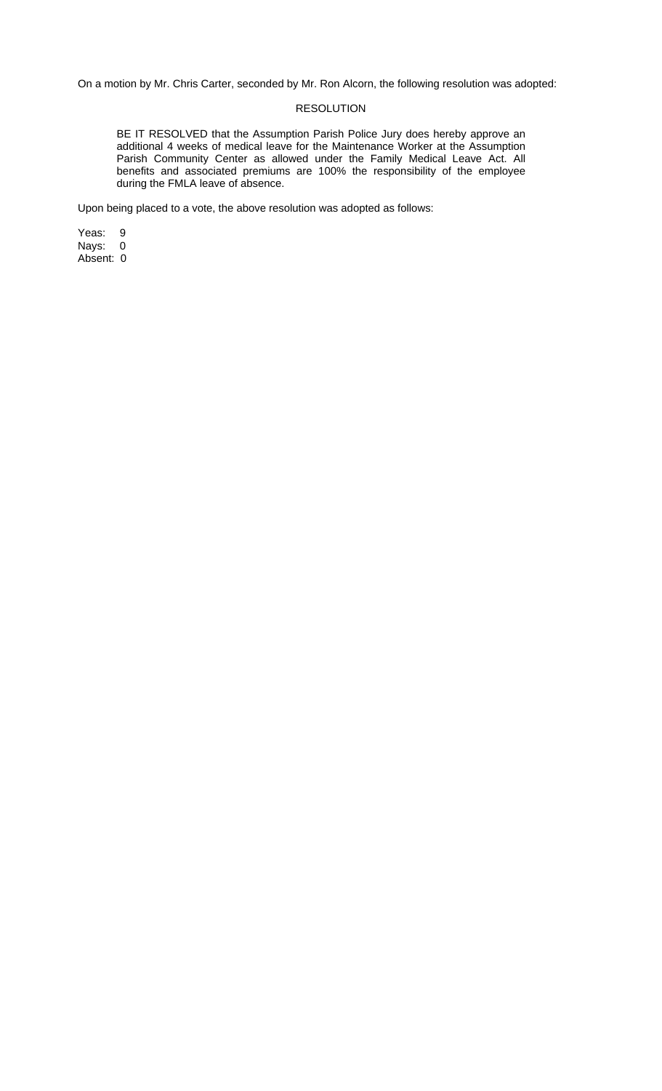## RESOLUTION

BE IT RESOLVED that the Assumption Parish Police Jury does hereby approve an additional 4 weeks of medical leave for the Maintenance Worker at the Assumption Parish Community Center as allowed under the Family Medical Leave Act. All benefits and associated premiums are 100% the responsibility of the employee during the FMLA leave of absence.

Upon being placed to a vote, the above resolution was adopted as follows:

Yeas: 9 Nays: 0 Absent: 0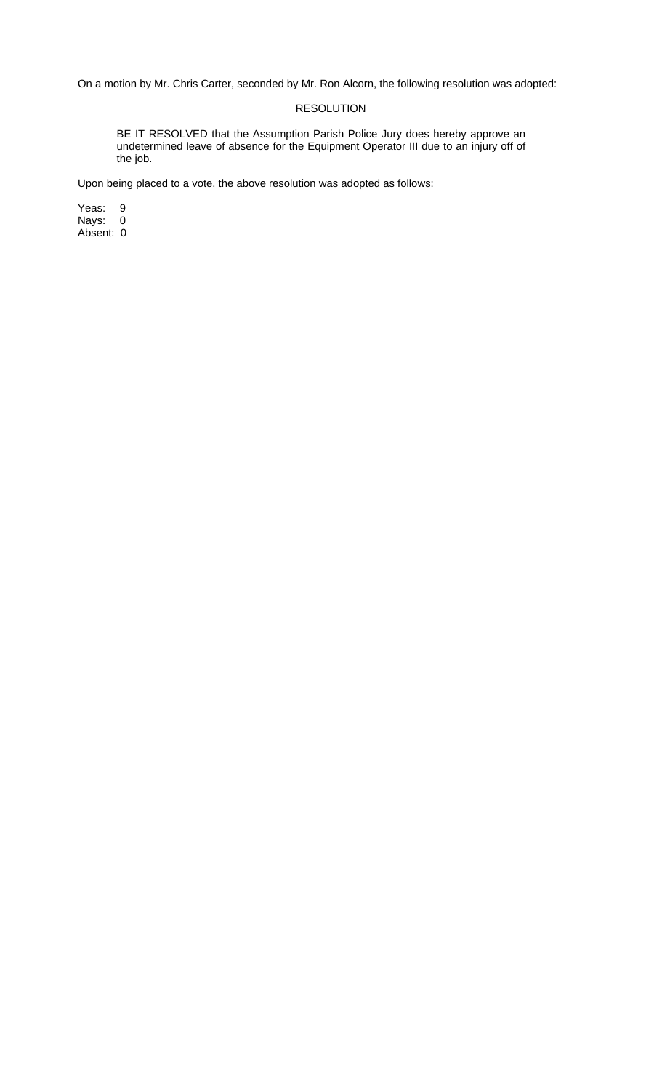# RESOLUTION

BE IT RESOLVED that the Assumption Parish Police Jury does hereby approve an undetermined leave of absence for the Equipment Operator III due to an injury off of the job.

Upon being placed to a vote, the above resolution was adopted as follows:

Yeas: 9 Nays: 0 Absent: 0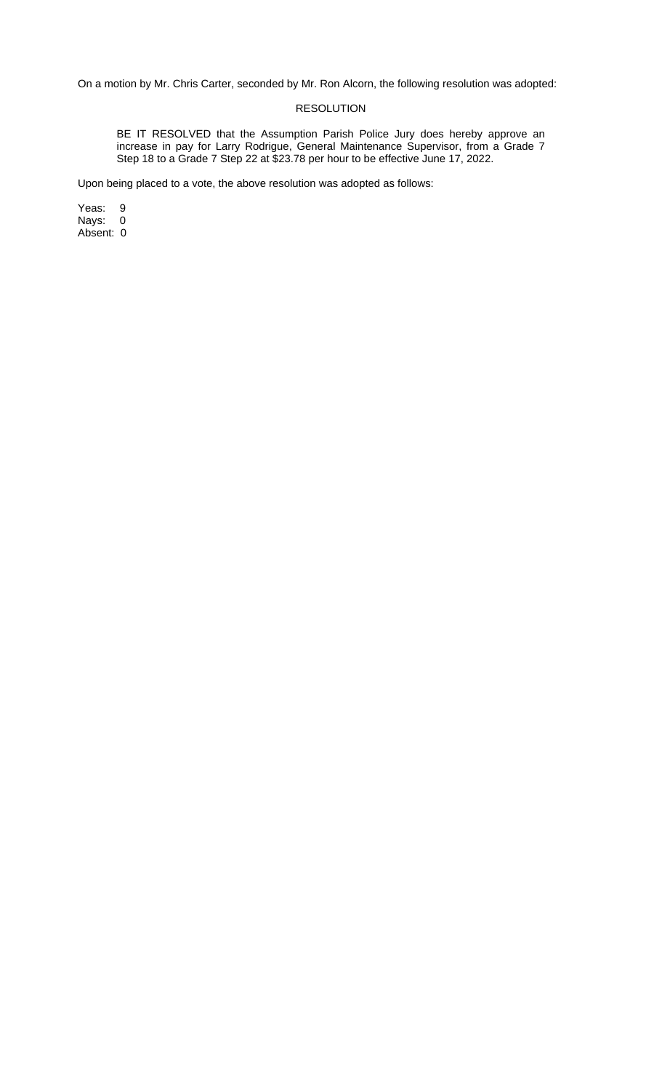### RESOLUTION

BE IT RESOLVED that the Assumption Parish Police Jury does hereby approve an increase in pay for Larry Rodrigue, General Maintenance Supervisor, from a Grade 7 Step 18 to a Grade 7 Step 22 at \$23.78 per hour to be effective June 17, 2022.

Upon being placed to a vote, the above resolution was adopted as follows:

Yeas: 9 Nays: 0 Absent: 0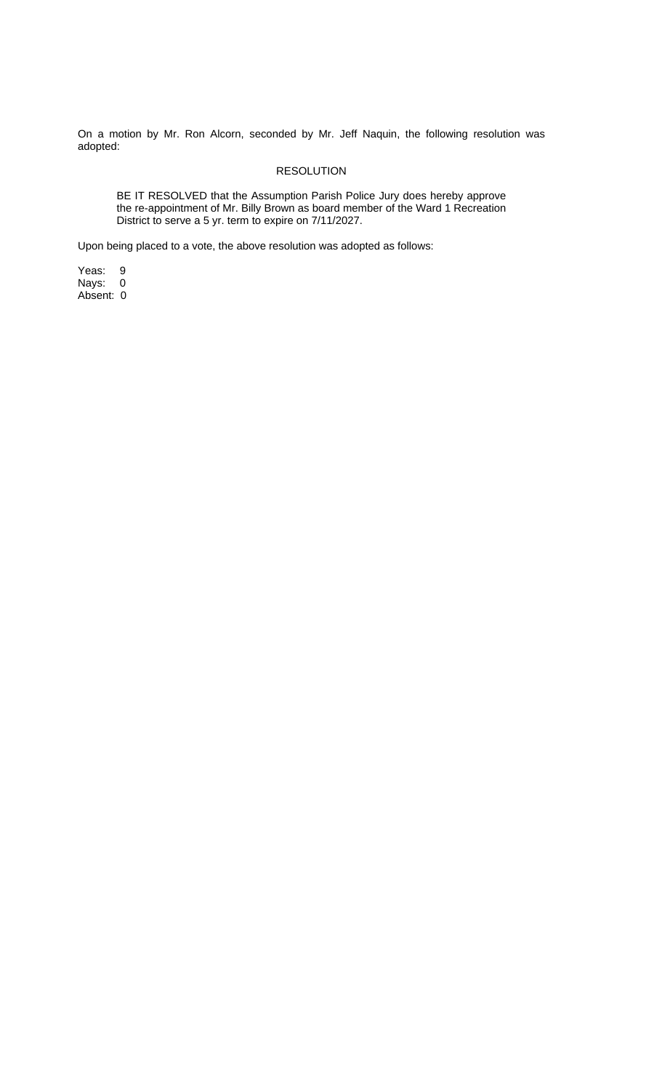On a motion by Mr. Ron Alcorn, seconded by Mr. Jeff Naquin, the following resolution was adopted:

# RESOLUTION

BE IT RESOLVED that the Assumption Parish Police Jury does hereby approve the re-appointment of Mr. Billy Brown as board member of the Ward 1 Recreation District to serve a 5 yr. term to expire on 7/11/2027.

Upon being placed to a vote, the above resolution was adopted as follows:

Yeas: 9 Nays: 0

Absent: 0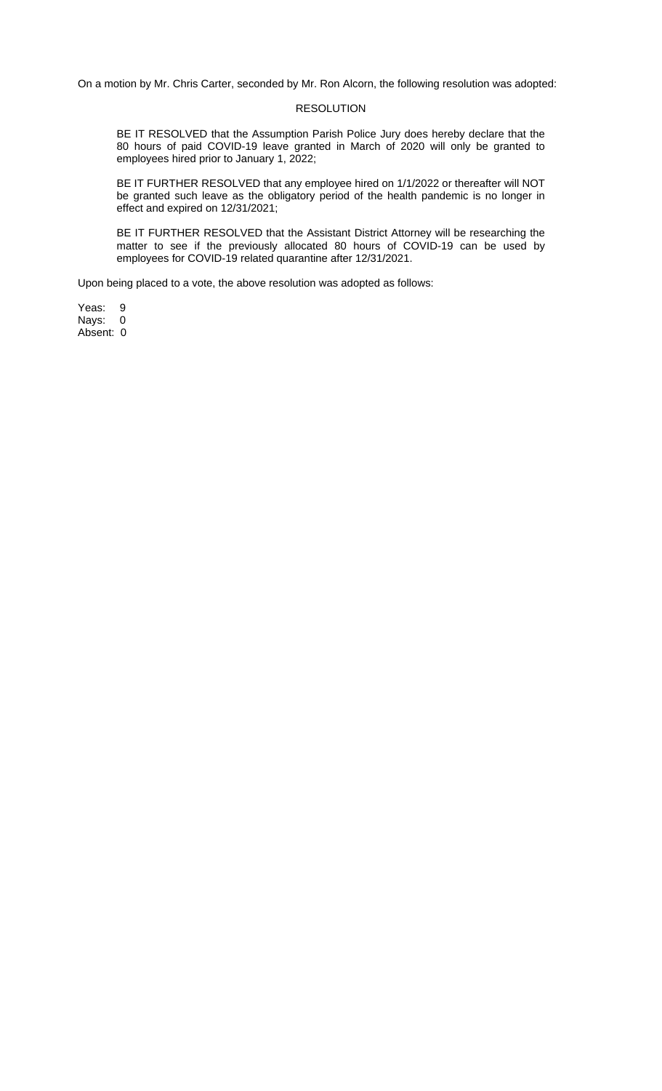#### RESOLUTION

BE IT RESOLVED that the Assumption Parish Police Jury does hereby declare that the 80 hours of paid COVID-19 leave granted in March of 2020 will only be granted to employees hired prior to January 1, 2022;

BE IT FURTHER RESOLVED that any employee hired on 1/1/2022 or thereafter will NOT be granted such leave as the obligatory period of the health pandemic is no longer in effect and expired on 12/31/2021;

BE IT FURTHER RESOLVED that the Assistant District Attorney will be researching the matter to see if the previously allocated 80 hours of COVID-19 can be used by employees for COVID-19 related quarantine after 12/31/2021.

Upon being placed to a vote, the above resolution was adopted as follows:

Yeas: 9<br>Nays: 0 Nays: Absent: 0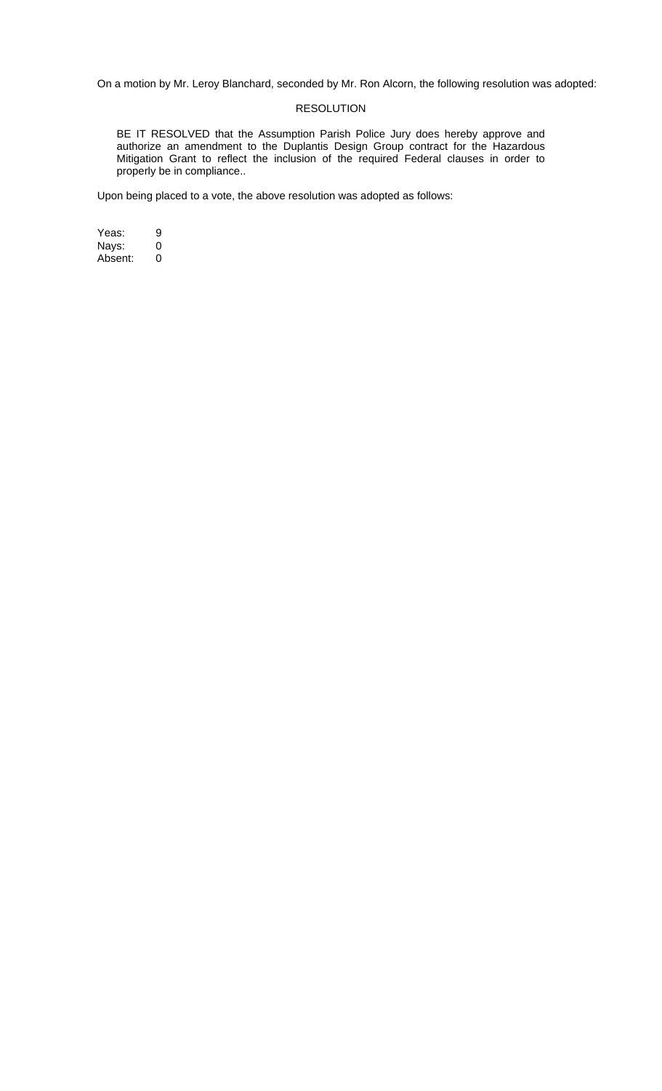# RESOLUTION

BE IT RESOLVED that the Assumption Parish Police Jury does hereby approve and authorize an amendment to the Duplantis Design Group contract for the Hazardous Mitigation Grant to reflect the inclusion of the required Federal clauses in order to properly be in compliance..

Upon being placed to a vote, the above resolution was adopted as follows:

Yeas: 9<br>Nays: 0 Nays: 0<br>Absent: 0 Absent: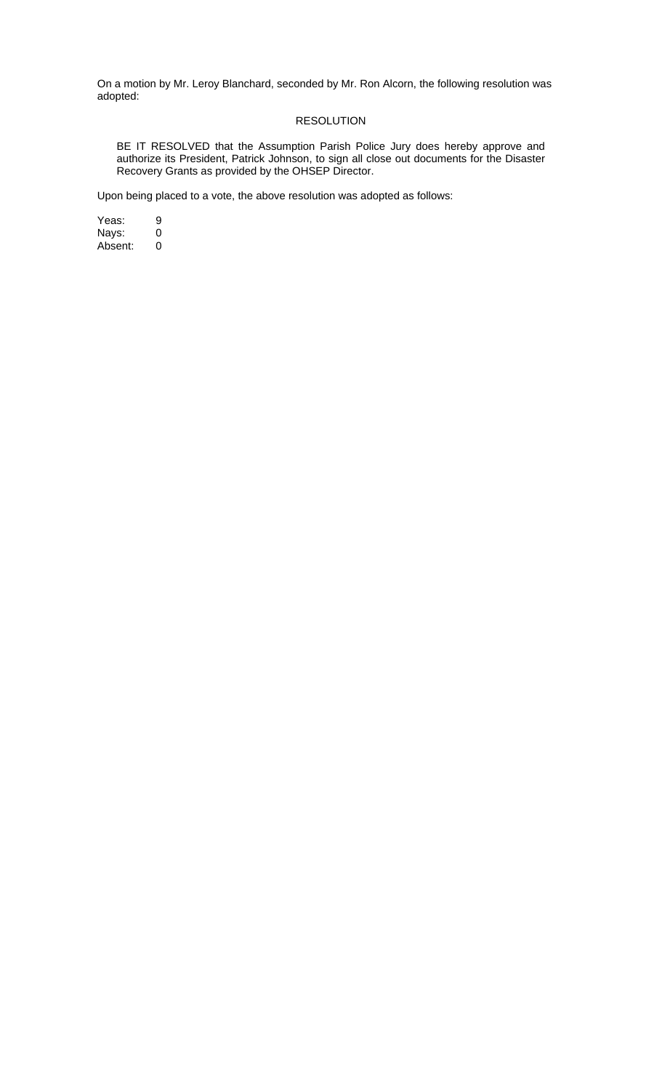## RESOLUTION

BE IT RESOLVED that the Assumption Parish Police Jury does hereby approve and authorize its President, Patrick Johnson, to sign all close out documents for the Disaster Recovery Grants as provided by the OHSEP Director.

Upon being placed to a vote, the above resolution was adopted as follows:

Yeas: 9<br>Nays: 0 Nays: 0 Absent: 0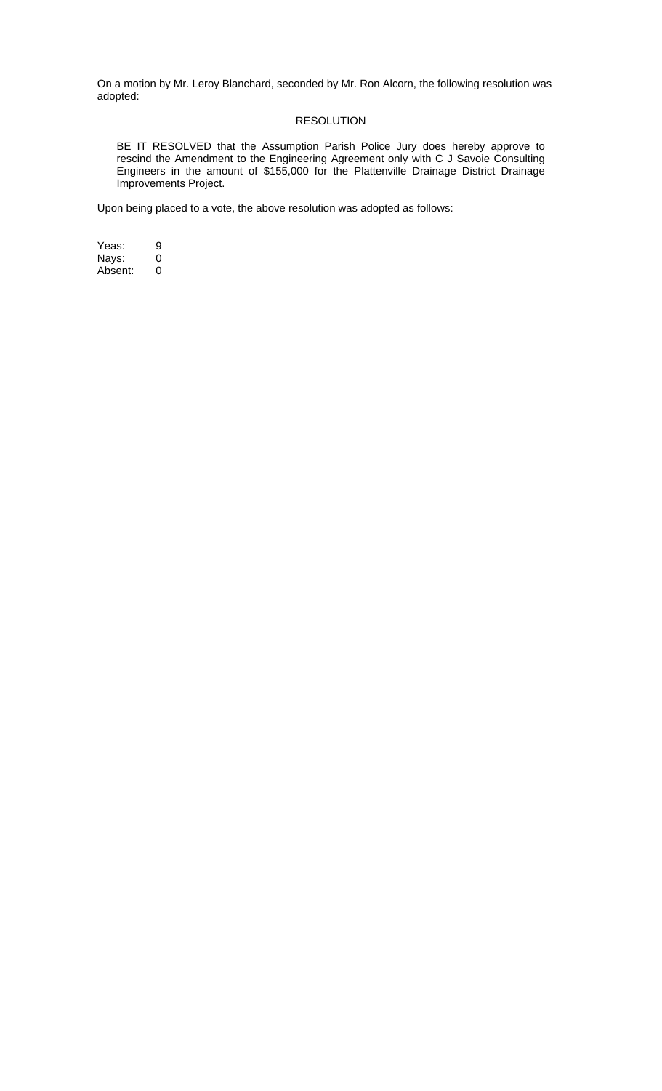# RESOLUTION

BE IT RESOLVED that the Assumption Parish Police Jury does hereby approve to rescind the Amendment to the Engineering Agreement only with C J Savoie Consulting Engineers in the amount of \$155,000 for the Plattenville Drainage District Drainage Improvements Project.

Upon being placed to a vote, the above resolution was adopted as follows:

Yeas: 9<br>Nays: 0 Nays: 0<br>Absent: 0 Absent: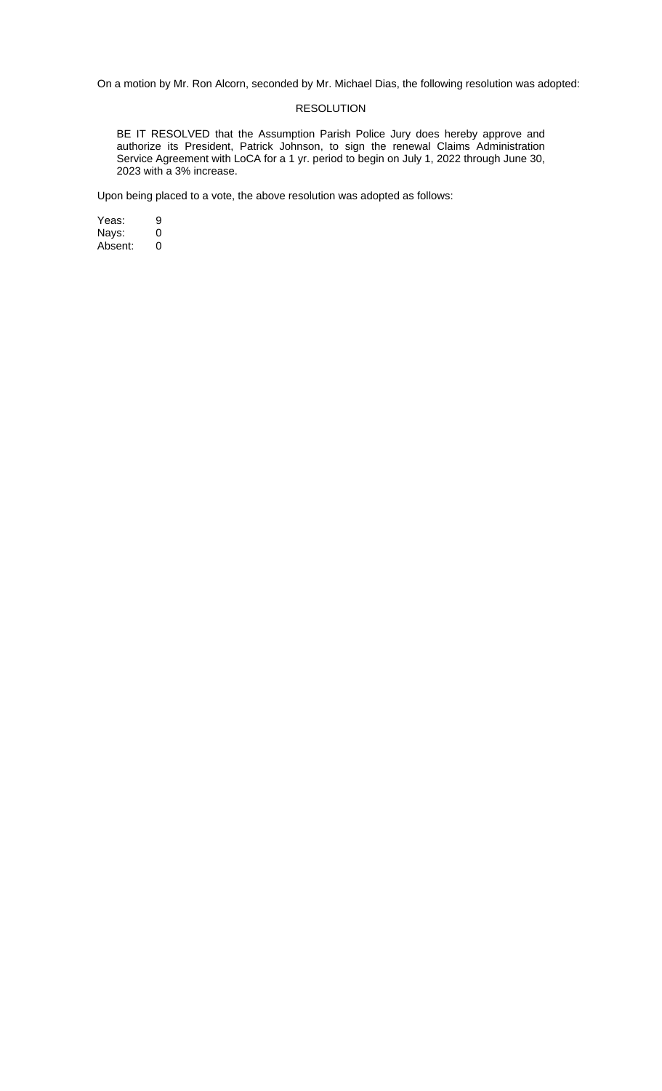On a motion by Mr. Ron Alcorn, seconded by Mr. Michael Dias, the following resolution was adopted:

# RESOLUTION

BE IT RESOLVED that the Assumption Parish Police Jury does hereby approve and authorize its President, Patrick Johnson, to sign the renewal Claims Administration Service Agreement with LoCA for a 1 yr. period to begin on July 1, 2022 through June 30, 2023 with a 3% increase.

Upon being placed to a vote, the above resolution was adopted as follows:

Yeas: 9<br>Nays: 0 Nays: 0<br>Absent: 0 Absent: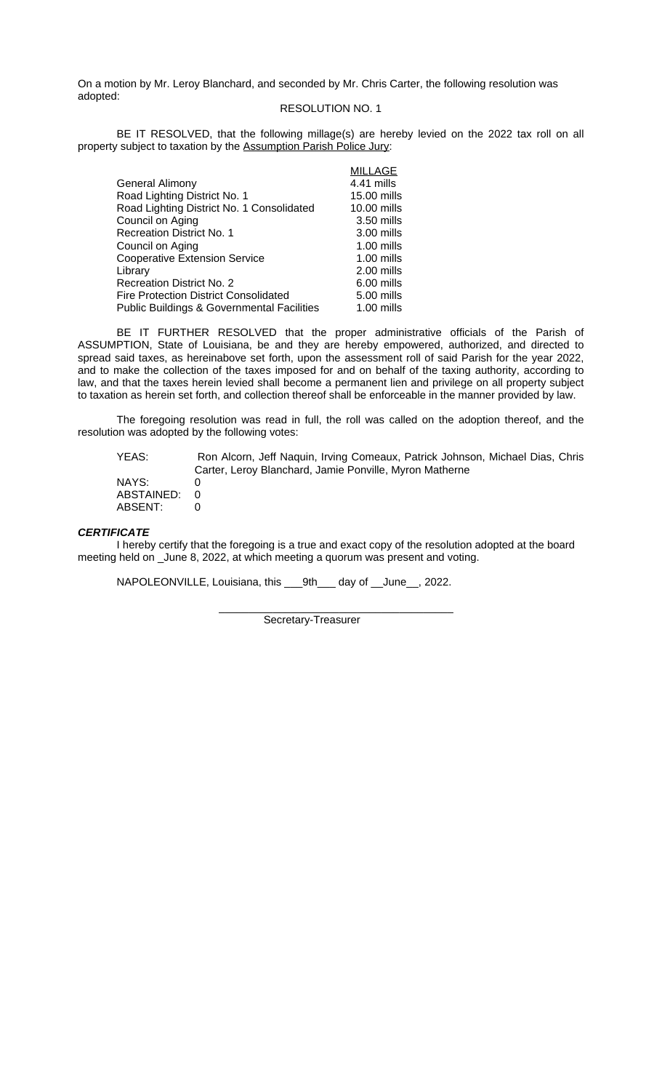On a motion by Mr. Leroy Blanchard, and seconded by Mr. Chris Carter, the following resolution was adopted:

### RESOLUTION NO. 1

BE IT RESOLVED, that the following millage(s) are hereby levied on the 2022 tax roll on all property subject to taxation by the Assumption Parish Police Jury:

|                                                       | <b>MILLAGE</b> |
|-------------------------------------------------------|----------------|
| <b>General Alimony</b>                                | 4.41 mills     |
| Road Lighting District No. 1                          | 15.00 mills    |
| Road Lighting District No. 1 Consolidated             | 10.00 mills    |
| Council on Aging                                      | $3.50$ mills   |
| <b>Recreation District No. 1</b>                      | $3.00$ mills   |
| Council on Aging                                      | $1.00$ mills   |
| <b>Cooperative Extension Service</b>                  | $1.00$ mills   |
| Library                                               | 2.00 mills     |
| Recreation District No. 2                             | $6.00$ mills   |
| <b>Fire Protection District Consolidated</b>          | 5.00 mills     |
| <b>Public Buildings &amp; Governmental Facilities</b> | $1.00$ mills   |

BE IT FURTHER RESOLVED that the proper administrative officials of the Parish of ASSUMPTION, State of Louisiana, be and they are hereby empowered, authorized, and directed to spread said taxes, as hereinabove set forth, upon the assessment roll of said Parish for the year 2022, and to make the collection of the taxes imposed for and on behalf of the taxing authority, according to law, and that the taxes herein levied shall become a permanent lien and privilege on all property subject to taxation as herein set forth, and collection thereof shall be enforceable in the manner provided by law.

The foregoing resolution was read in full, the roll was called on the adoption thereof, and the resolution was adopted by the following votes:

| YEAS:      | Ron Alcorn, Jeff Naquin, Irving Comeaux, Patrick Johnson, Michael Dias, Chris |
|------------|-------------------------------------------------------------------------------|
|            | Carter, Leroy Blanchard, Jamie Ponville, Myron Matherne                       |
| NAYS:      |                                                                               |
| ABSTAINED: |                                                                               |
| ABSENT:    |                                                                               |

# *CERTIFICATE*

I hereby certify that the foregoing is a true and exact copy of the resolution adopted at the board meeting held on \_June 8, 2022, at which meeting a quorum was present and voting.

NAPOLEONVILLE, Louisiana, this \_\_\_9th\_\_\_ day of \_\_June\_\_, 2022.

 \_\_\_\_\_\_\_\_\_\_\_\_\_\_\_\_\_\_\_\_\_\_\_\_\_\_\_\_\_\_\_\_\_\_\_\_\_\_\_ Secretary-Treasurer